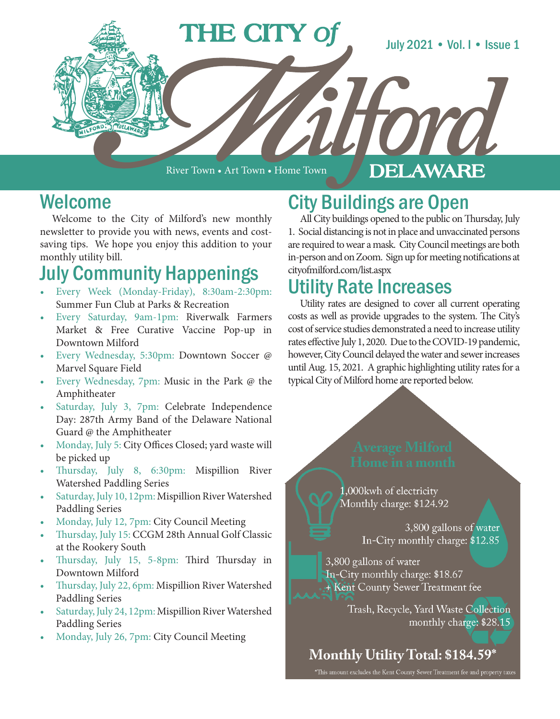

River Town • Art Town • Home Town

#### **DELAWARE**

# Welcome

Welcome to the City of Milford's new monthly newsletter to provide you with news, events and costsaving tips. We hope you enjoy this addition to your monthly utility bill.

# July Community Happenings

- Every Week (Monday-Friday), 8:30am-2:30pm: Summer Fun Club at Parks & Recreation
- Every Saturday, 9am-1pm: Riverwalk Farmers Market & Free Curative Vaccine Pop-up in Downtown Milford
- Every Wednesday, 5:30pm: Downtown Soccer @ Marvel Square Field
- Every Wednesday, 7pm: Music in the Park @ the Amphitheater
- Saturday, July 3, 7pm: Celebrate Independence Day: 287th Army Band of the Delaware National Guard @ the Amphitheater
- Monday, July 5: City Offices Closed; yard waste will be picked up
- Thursday, July 8, 6:30pm: Mispillion River Watershed Paddling Series
- Saturday, July 10, 12pm: Mispillion River Watershed Paddling Series
- Monday, July 12, 7pm: City Council Meeting
- Thursday, July 15: CCGM 28th Annual Golf Classic at the Rookery South
- Thursday, July 15, 5-8pm: Third Thursday in Downtown Milford
- Thursday, July 22, 6pm: Mispillion River Watershed Paddling Series
- Saturday, July 24, 12pm: Mispillion River Watershed Paddling Series
- Monday, July 26, 7pm: City Council Meeting

# City Buildings are Open

All City buildings opened to the public on Thursday, July 1. Social distancing is not in place and unvaccinated persons are required to wear a mask. City Council meetings are both in-person and on Zoom. Sign up for meeting notifications at cityofmilford.com/list.aspx

# Utility Rate Increases

Utility rates are designed to cover all current operating costs as well as provide upgrades to the system. The City's cost of service studies demonstrated a need to increase utility rates effective July 1, 2020. Due to the COVID-19 pandemic, however, City Council delayed the water and sewer increases until Aug. 15, 2021. A graphic highlighting utility rates for a typical City of Milford home are reported below.

1,000kwh of electricity Monthly charge: \$124.92

> 3,800 gallons of water In-City monthly charge: \$12.85

3,800 gallons of water In-City monthly charge: \$18.67 + Kent County Sewer Treatment fee

> Trash, Recycle, Yard Waste Collection monthly charge: \$28.15

Monthly Utility Total: \$184.59\*

\*This amount excludes the Kent County Sewer Treatment fee and property taxes